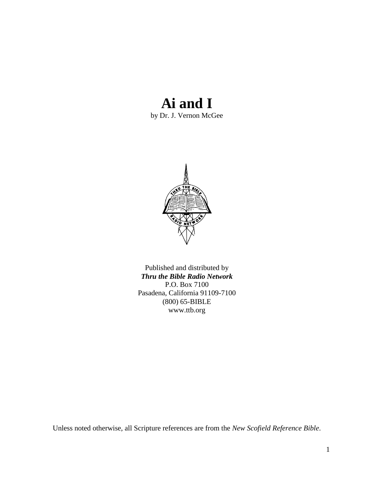# **Ai and I**

by Dr. J. Vernon McGee



Published and distributed by *Thru the Bible Radio Network* P.O. Box 7100 Pasadena, California 91109-7100 (800) 65-BIBLE www.ttb.org

Unless noted otherwise, all Scripture references are from the *New Scofield Reference Bible*.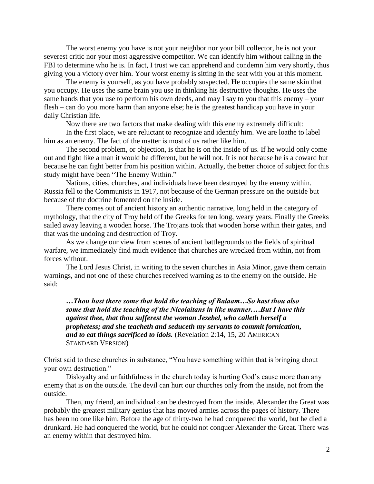The worst enemy you have is not your neighbor nor your bill collector, he is not your severest critic nor your most aggressive competitor. We can identify him without calling in the FBI to determine who he is. In fact, I trust we can apprehend and condemn him very shortly, thus giving you a victory over him. Your worst enemy is sitting in the seat with you at this moment.

The enemy is yourself, as you have probably suspected. He occupies the same skin that you occupy. He uses the same brain you use in thinking his destructive thoughts. He uses the same hands that you use to perform his own deeds, and may I say to you that this enemy – your flesh – can do you more harm than anyone else; he is the greatest handicap you have in your daily Christian life.

Now there are two factors that make dealing with this enemy extremely difficult:

In the first place, we are reluctant to recognize and identify him. We are loathe to label him as an enemy. The fact of the matter is most of us rather like him.

The second problem, or objection, is that he is on the inside of us. If he would only come out and fight like a man it would be different, but he will not. It is not because he is a coward but because he can fight better from his position within. Actually, the better choice of subject for this study might have been "The Enemy Within."

Nations, cities, churches, and individuals have been destroyed by the enemy within. Russia fell to the Communists in 1917, not because of the German pressure on the outside but because of the doctrine fomented on the inside.

There comes out of ancient history an authentic narrative, long held in the category of mythology, that the city of Troy held off the Greeks for ten long, weary years. Finally the Greeks sailed away leaving a wooden horse. The Trojans took that wooden horse within their gates, and that was the undoing and destruction of Troy.

As we change our view from scenes of ancient battlegrounds to the fields of spiritual warfare, we immediately find much evidence that churches are wrecked from within, not from forces without.

The Lord Jesus Christ, in writing to the seven churches in Asia Minor, gave them certain warnings, and not one of these churches received warning as to the enemy on the outside. He said:

*…Thou hast there some that hold the teaching of Balaam…So hast thou also some that hold the teaching of the Nicolaitans in like manner.…But I have this against thee, that thou sufferest the woman Jezebel, who calleth herself a prophetess; and she teacheth and seduceth my servants to commit fornication, and to eat things sacrificed to idols.* (Revelation 2:14, 15, 20 AMERICAN STANDARD VERSION)

Christ said to these churches in substance, "You have something within that is bringing about your own destruction."

Disloyalty and unfaithfulness in the church today is hurting God's cause more than any enemy that is on the outside. The devil can hurt our churches only from the inside, not from the outside.

Then, my friend, an individual can be destroyed from the inside. Alexander the Great was probably the greatest military genius that has moved armies across the pages of history. There has been no one like him. Before the age of thirty-two he had conquered the world, but he died a drunkard. He had conquered the world, but he could not conquer Alexander the Great. There was an enemy within that destroyed him.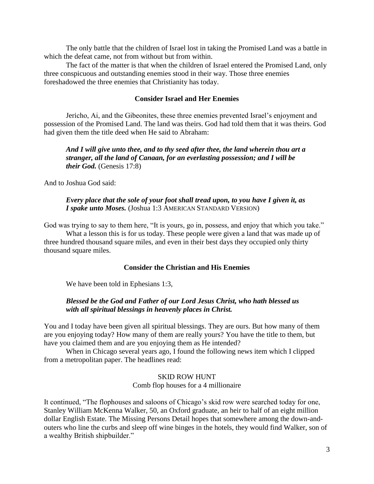The only battle that the children of Israel lost in taking the Promised Land was a battle in which the defeat came, not from without but from within.

The fact of the matter is that when the children of Israel entered the Promised Land, only three conspicuous and outstanding enemies stood in their way. Those three enemies foreshadowed the three enemies that Christianity has today.

### **Consider Israel and Her Enemies**

Jericho, Ai, and the Gibeonites, these three enemies prevented Israel"s enjoyment and possession of the Promised Land. The land was theirs. God had told them that it was theirs. God had given them the title deed when He said to Abraham:

*And I will give unto thee, and to thy seed after thee, the land wherein thou art a stranger, all the land of Canaan, for an everlasting possession; and I will be their God.* (Genesis 17:8)

And to Joshua God said:

#### *Every place that the sole of your foot shall tread upon, to you have I given it, as I spake unto Moses.* (Joshua 1:3 AMERICAN STANDARD VERSION)

God was trying to say to them here, "It is yours, go in, possess, and enjoy that which you take." What a lesson this is for us today. These people were given a land that was made up of three hundred thousand square miles, and even in their best days they occupied only thirty thousand square miles.

### **Consider the Christian and His Enemies**

We have been told in Ephesians 1:3,

# *Blessed be the God and Father of our Lord Jesus Christ, who hath blessed us with all spiritual blessings in heavenly places in Christ.*

You and I today have been given all spiritual blessings. They are ours. But how many of them are you enjoying today? How many of them are really yours? You have the title to them, but have you claimed them and are you enjoying them as He intended?

When in Chicago several years ago, I found the following news item which I clipped from a metropolitan paper. The headlines read:

# SKID ROW HUNT Comb flop houses for a 4 millionaire

It continued, "The flophouses and saloons of Chicago"s skid row were searched today for one, Stanley William McKenna Walker, 50, an Oxford graduate, an heir to half of an eight million dollar English Estate. The Missing Persons Detail hopes that somewhere among the down-andouters who line the curbs and sleep off wine binges in the hotels, they would find Walker, son of a wealthy British shipbuilder."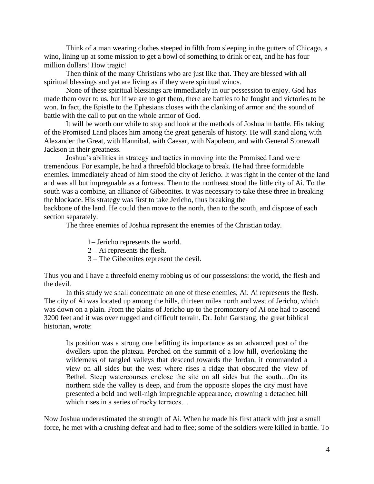Think of a man wearing clothes steeped in filth from sleeping in the gutters of Chicago, a wino, lining up at some mission to get a bowl of something to drink or eat, and he has four million dollars! How tragic!

Then think of the many Christians who are just like that. They are blessed with all spiritual blessings and yet are living as if they were spiritual winos.

None of these spiritual blessings are immediately in our possession to enjoy. God has made them over to us, but if we are to get them, there are battles to be fought and victories to be won. In fact, the Epistle to the Ephesians closes with the clanking of armor and the sound of battle with the call to put on the whole armor of God.

It will be worth our while to stop and look at the methods of Joshua in battle. His taking of the Promised Land places him among the great generals of history. He will stand along with Alexander the Great, with Hannibal, with Caesar, with Napoleon, and with General Stonewall Jackson in their greatness.

Joshua"s abilities in strategy and tactics in moving into the Promised Land were tremendous. For example, he had a threefold blockage to break. He had three formidable enemies. Immediately ahead of him stood the city of Jericho. It was right in the center of the land and was all but impregnable as a fortress. Then to the northeast stood the little city of Ai. To the south was a combine, an alliance of Gibeonites. It was necessary to take these three in breaking the blockade. His strategy was first to take Jericho, thus breaking the

backbone of the land. He could then move to the north, then to the south, and dispose of each section separately.

The three enemies of Joshua represent the enemies of the Christian today.

1– Jericho represents the world.

2 – Ai represents the flesh.

3 – The Gibeonites represent the devil.

Thus you and I have a threefold enemy robbing us of our possessions: the world, the flesh and the devil.

In this study we shall concentrate on one of these enemies, Ai. Ai represents the flesh. The city of Ai was located up among the hills, thirteen miles north and west of Jericho, which was down on a plain. From the plains of Jericho up to the promontory of Ai one had to ascend 3200 feet and it was over rugged and difficult terrain. Dr. John Garstang, the great biblical historian, wrote:

Its position was a strong one befitting its importance as an advanced post of the dwellers upon the plateau. Perched on the summit of a low hill, overlooking the wilderness of tangled valleys that descend towards the Jordan, it commanded a view on all sides but the west where rises a ridge that obscured the view of Bethel. Steep watercourses enclose the site on all sides but the south…On its northern side the valley is deep, and from the opposite slopes the city must have presented a bold and well-nigh impregnable appearance, crowning a detached hill which rises in a series of rocky terraces...

Now Joshua underestimated the strength of Ai. When he made his first attack with just a small force, he met with a crushing defeat and had to flee; some of the soldiers were killed in battle. To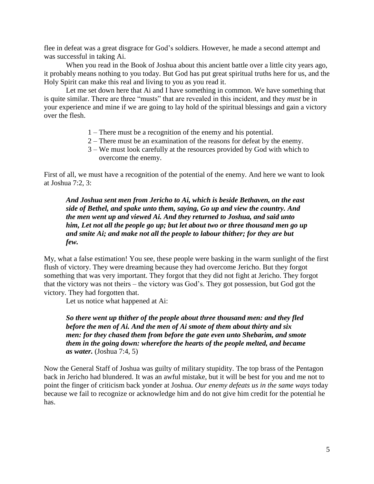flee in defeat was a great disgrace for God"s soldiers. However, he made a second attempt and was successful in taking Ai.

When you read in the Book of Joshua about this ancient battle over a little city years ago, it probably means nothing to you today. But God has put great spiritual truths here for us, and the Holy Spirit can make this real and living to you as you read it.

Let me set down here that Ai and I have something in common. We have something that is quite similar. There are three "musts" that are revealed in this incident, and they *must* be in your experience and mine if we are going to lay hold of the spiritual blessings and gain a victory over the flesh.

- 1 There must be a recognition of the enemy and his potential.
- 2 There must be an examination of the reasons for defeat by the enemy.
- 3 We must look carefully at the resources provided by God with which to overcome the enemy.

First of all, we must have a recognition of the potential of the enemy. And here we want to look at Joshua 7:2, 3:

*And Joshua sent men from Jericho to Ai, which is beside Bethaven, on the east side of Bethel, and spake unto them, saying, Go up and view the country. And the men went up and viewed Ai. And they returned to Joshua, and said unto him, Let not all the people go up; but let about two or three thousand men go up and smite Ai; and make not all the people to labour thither; for they are but few.*

My, what a false estimation! You see, these people were basking in the warm sunlight of the first flush of victory. They were dreaming because they had overcome Jericho. But they forgot something that was very important. They forgot that they did not fight at Jericho. They forgot that the victory was not theirs – the victory was God"s. They got possession, but God got the victory. They had forgotten that.

Let us notice what happened at Ai:

*So there went up thither of the people about three thousand men: and they fled before the men of Ai. And the men of Ai smote of them about thirty and six men: for they chased them from before the gate even unto Shebarim, and smote them in the going down: wherefore the hearts of the people melted, and became as water.* (Joshua 7:4, 5)

Now the General Staff of Joshua was guilty of military stupidity. The top brass of the Pentagon back in Jericho had blundered. It was an awful mistake, but it will be best for you and me not to point the finger of criticism back yonder at Joshua. *Our enemy defeats us in the same ways* today because we fail to recognize or acknowledge him and do not give him credit for the potential he has.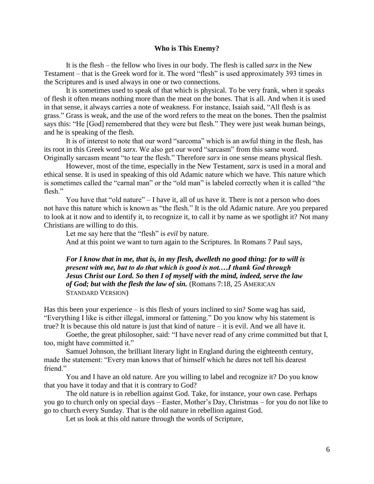#### **Who is This Enemy?**

It is the flesh – the fellow who lives in our body. The flesh is called *sarx* in the New Testament – that is the Greek word for it. The word "flesh" is used approximately 393 times in the Scriptures and is used always in one or two connections.

It is sometimes used to speak of that which is physical. To be very frank, when it speaks of flesh it often means nothing more than the meat on the bones. That is all. And when it is used in that sense, it always carries a note of weakness. For instance, Isaiah said, "All flesh is as grass." Grass is weak, and the use of the word refers to the meat on the bones. Then the psalmist says this: "He [God] remembered that they were but flesh." They were just weak human beings, and he is speaking of the flesh.

It is of interest to note that our word "sarcoma" which is an awful thing in the flesh, has its root in this Greek word *sarx*. We also get our word "sarcasm" from this same word. Originally sarcasm meant "to tear the flesh." Therefore *sarx* in one sense means physical flesh.

However, most of the time, especially in the New Testament, *sarx* is used in a moral and ethical sense. It is used in speaking of this old Adamic nature which we have. This nature which is sometimes called the "carnal man" or the "old man" is labeled correctly when it is called "the flesh."

You have that "old nature" – I have it, all of us have it. There is not a person who does not have this nature which is known as "the flesh." It is the old Adamic nature. Are you prepared to look at it now and to identify it, to recognize it, to call it by name as we spotlight it? Not many Christians are willing to do this.

Let me say here that the "flesh" is *evil* by nature.

And at this point we want to turn again to the Scriptures. In Romans 7 Paul says,

*For I know that in me, that is, in my flesh, dwelleth no good thing: for to will is present with me, but to do that which is good is not.…I thank God through Jesus Christ our Lord. So then I of myself with the mind, indeed, serve the law of God; but with the flesh the law of sin.* (Romans 7:18, 25 AMERICAN STANDARD VERSION)

Has this been your experience – is this flesh of yours inclined to sin? Some wag has said, "Everything I like is either illegal, immoral or fattening." Do you know why his statement is true? It is because this old nature is just that kind of nature – it is evil. And we all have it.

Goethe, the great philosopher, said: "I have never read of any crime committed but that I, too, might have committed it."

Samuel Johnson, the brilliant literary light in England during the eighteenth century, made the statement: "Every man knows that of himself which he dares not tell his dearest friend."

You and I have an old nature. Are you willing to label and recognize it? Do you know that you have it today and that it is contrary to God?

The old nature is in rebellion against God. Take, for instance, your own case. Perhaps you go to church only on special days – Easter, Mother"s Day, Christmas – for you do not like to go to church every Sunday. That is the old nature in rebellion against God.

Let us look at this old nature through the words of Scripture,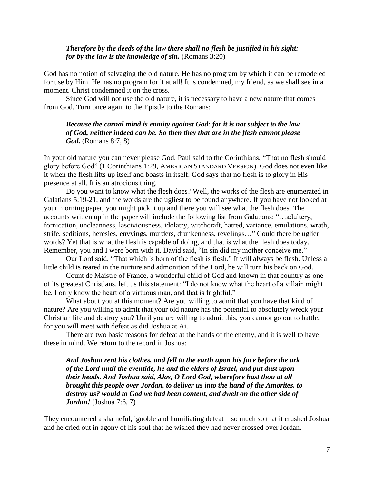#### *Therefore by the deeds of the law there shall no flesh be justified in his sight: for by the law is the knowledge of sin.* (Romans 3:20)

God has no notion of salvaging the old nature. He has no program by which it can be remodeled for use by Him. He has no program for it at all! It is condemned, my friend, as we shall see in a moment. Christ condemned it on the cross.

Since God will not use the old nature, it is necessary to have a new nature that comes from God. Turn once again to the Epistle to the Romans:

*Because the carnal mind is enmity against God: for it is not subject to the law of God, neither indeed can be. So then they that are in the flesh cannot please God.* (Romans 8:7, 8)

In your old nature you can never please God. Paul said to the Corinthians, "That no flesh should glory before God" (1 Corinthians 1:29, AMERICAN STANDARD VERSION). God does not even like it when the flesh lifts up itself and boasts in itself. God says that no flesh is to glory in His presence at all. It is an atrocious thing.

Do you want to know what the flesh does? Well, the works of the flesh are enumerated in Galatians 5:19-21, and the words are the ugliest to be found anywhere. If you have not looked at your morning paper, you might pick it up and there you will see what the flesh does. The accounts written up in the paper will include the following list from Galatians: "…adultery, fornication, uncleanness, lasciviousness, idolatry, witchcraft, hatred, variance, emulations, wrath, strife, seditions, heresies, envyings, murders, drunkenness, revelings…" Could there be uglier words? Yet that is what the flesh is capable of doing, and that is what the flesh does today. Remember, you and I were born with it. David said, "In sin did my mother conceive me."

Our Lord said, "That which is born of the flesh is flesh." It will always be flesh. Unless a little child is reared in the nurture and admonition of the Lord, he will turn his back on God.

Count de Maistre of France, a wonderful child of God and known in that country as one of its greatest Christians, left us this statement: "I do not know what the heart of a villain might be, I only know the heart of a virtuous man, and that is frightful."

What about you at this moment? Are you willing to admit that you have that kind of nature? Are you willing to admit that your old nature has the potential to absolutely wreck your Christian life and destroy you? Until you are willing to admit this, you cannot go out to battle, for you will meet with defeat as did Joshua at Ai.

There are two basic reasons for defeat at the hands of the enemy, and it is well to have these in mind. We return to the record in Joshua:

*And Joshua rent his clothes, and fell to the earth upon his face before the ark of the Lord until the eventide, he and the elders of Israel, and put dust upon their heads. And Joshua said, Alas, O Lord God, wherefore hast thou at all brought this people over Jordan, to deliver us into the hand of the Amorites, to destroy us? would to God we had been content, and dwelt on the other side of Jordan!* (Joshua 7:6, 7)

They encountered a shameful, ignoble and humiliating defeat – so much so that it crushed Joshua and he cried out in agony of his soul that he wished they had never crossed over Jordan.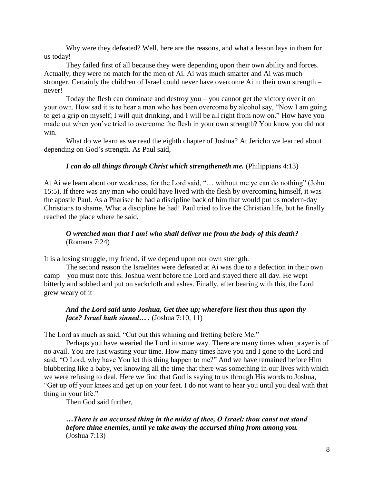Why were they defeated? Well, here are the reasons, and what a lesson lays in them for us today!

They failed first of all because they were depending upon their own ability and forces. Actually, they were no match for the men of Ai. Ai was much smarter and Ai was much stronger. Certainly the children of Israel could never have overcome Ai in their own strength – never!

Today the flesh can dominate and destroy you – you cannot get the victory over it on your own. How sad it is to hear a man who has been overcome by alcohol say, "Now I am going to get a grip on myself; I will quit drinking, and I will be all right from now on." How have you made out when you"ve tried to overcome the flesh in your own strength? You know you did not win.

What do we learn as we read the eighth chapter of Joshua? At Jericho we learned about depending on God"s strength. As Paul said,

# *I can do all things through Christ which strengtheneth me.* (Philippians 4:13)

At Ai we learn about our weakness, for the Lord said, "… without me ye can do nothing" (John 15:5). If there was any man who could have lived with the flesh by overcoming himself, it was the apostle Paul. As a Pharisee he had a discipline back of him that would put us modern-day Christians to shame. What a discipline he had! Paul tried to live the Christian life, but he finally reached the place where he said,

# *O wretched man that I am! who shall deliver me from the body of this death?* (Romans 7:24)

It is a losing struggle, my friend, if we depend upon our own strength.

The second reason the Israelites were defeated at Ai was due to a defection in their own camp – you must note this. Joshua went before the Lord and stayed there all day. He wept bitterly and sobbed and put on sackcloth and ashes. Finally, after bearing with this, the Lord grew weary of it  $-$ 

# *And the Lord said unto Joshua, Get thee up; wherefore liest thou thus upon thy face? Israel hath sinned… .* (Joshua 7:10, 11)

The Lord as much as said, "Cut out this whining and fretting before Me."

Perhaps you have wearied the Lord in some way. There are many times when prayer is of no avail. You are just wasting your time. How many times have you and I gone to the Lord and said, "O Lord, why have You let this thing happen to me?" And we have remained before Him blubbering like a baby, yet knowing all the time that there was something in our lives with which we were refusing to deal. Here we find that God is saying to us through His words to Joshua, "Get up off your knees and get up on your feet. I do not want to hear you until you deal with that thing in your life."

Then God said further,

*…There is an accursed thing in the midst of thee, O Israel: thou canst not stand before thine enemies, until ye take away the accursed thing from among you.* (Joshua 7:13)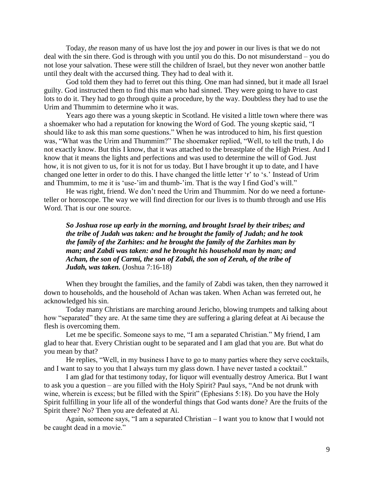Today, *the* reason many of us have lost the joy and power in our lives is that we do not deal with the sin there. God is through with you until you do this. Do not misunderstand – you do not lose your salvation. These were still the children of Israel, but they never won another battle until they dealt with the accursed thing. They had to deal with it.

God told them they had to ferret out this thing. One man had sinned, but it made all Israel guilty. God instructed them to find this man who had sinned. They were going to have to cast lots to do it. They had to go through quite a procedure, by the way. Doubtless they had to use the Urim and Thummim to determine who it was.

Years ago there was a young skeptic in Scotland. He visited a little town where there was a shoemaker who had a reputation for knowing the Word of God. The young skeptic said, "I should like to ask this man some questions." When he was introduced to him, his first question was, "What was the Urim and Thummim?" The shoemaker replied, "Well, to tell the truth, I do not exactly know. But this I know, that it was attached to the breastplate of the High Priest. And I know that it means the lights and perfections and was used to determine the will of God. Just how, it is not given to us, for it is not for us today. But I have brought it up to date, and I have changed one letter in order to do this. I have changed the little letter "r" to "s." Instead of Urim and Thummim, to me it is 'use-'im and thumb-'im. That is the way I find God's will."

He was right, friend. We don"t need the Urim and Thummim. Nor do we need a fortuneteller or horoscope. The way we will find direction for our lives is to thumb through and use His Word. That is our one source.

*So Joshua rose up early in the morning, and brought Israel by their tribes; and the tribe of Judah was taken: and he brought the family of Judah; and he took the family of the Zarhites: and he brought the family of the Zarhites man by man; and Zabdi was taken: and he brought his household man by man; and Achan, the son of Carmi, the son of Zabdi, the son of Zerah, of the tribe of Judah, was taken.* (Joshua 7:16-18)

When they brought the families, and the family of Zabdi was taken, then they narrowed it down to households, and the household of Achan was taken. When Achan was ferreted out, he acknowledged his sin.

Today many Christians are marching around Jericho, blowing trumpets and talking about how "separated" they are. At the same time they are suffering a glaring defeat at Ai because the flesh is overcoming them.

Let me be specific. Someone says to me, "I am a separated Christian." My friend, I am glad to hear that. Every Christian ought to be separated and I am glad that you are. But what do you mean by that?

He replies, "Well, in my business I have to go to many parties where they serve cocktails, and I want to say to you that I always turn my glass down. I have never tasted a cocktail."

I am glad for that testimony today, for liquor will eventually destroy America. But I want to ask you a question – are you filled with the Holy Spirit? Paul says, "And be not drunk with wine, wherein is excess; but be filled with the Spirit" (Ephesians 5:18). Do you have the Holy Spirit fulfilling in your life all of the wonderful things that God wants done? Are the fruits of the Spirit there? No? Then you are defeated at Ai.

Again, someone says, "I am a separated Christian – I want you to know that I would not be caught dead in a movie."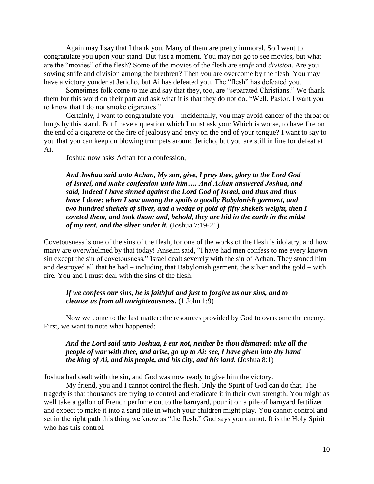Again may I say that I thank you. Many of them are pretty immoral. So I want to congratulate you upon your stand. But just a moment. You may not go to see movies, but what are the "movies" of the flesh? Some of the movies of the flesh are *strife* and *division*. Are you sowing strife and division among the brethren? Then you are overcome by the flesh. You may have a victory yonder at Jericho, but Ai has defeated you. The "flesh" has defeated you.

Sometimes folk come to me and say that they, too, are "separated Christians." We thank them for this word on their part and ask what it is that they do not do. "Well, Pastor, I want you to know that I do not smoke cigarettes."

Certainly, I want to congratulate you – incidentally, you may avoid cancer of the throat or lungs by this stand. But I have a question which I must ask you: Which is worse, to have fire on the end of a cigarette or the fire of jealousy and envy on the end of your tongue? I want to say to you that you can keep on blowing trumpets around Jericho, but you are still in line for defeat at Ai.

Joshua now asks Achan for a confession,

*And Joshua said unto Achan, My son, give, I pray thee, glory to the Lord God of Israel, and make confession unto him…. And Achan answered Joshua, and said, Indeed I have sinned against the Lord God of Israel, and thus and thus have I done: when I saw among the spoils a goodly Babylonish garment, and two hundred shekels of silver, and a wedge of gold of fifty shekels weight, then I coveted them, and took them; and, behold, they are hid in the earth in the midst of my tent, and the silver under it.* (Joshua 7:19-21)

Covetousness is one of the sins of the flesh, for one of the works of the flesh is idolatry, and how many are overwhelmed by that today! Anselm said, "I have had men confess to me every known sin except the sin of covetousness." Israel dealt severely with the sin of Achan. They stoned him and destroyed all that he had – including that Babylonish garment, the silver and the gold – with fire. You and I must deal with the sins of the flesh.

# *If we confess our sins, he is faithful and just to forgive us our sins, and to cleanse us from all unrighteousness.* (1 John 1:9)

Now we come to the last matter: the resources provided by God to overcome the enemy. First, we want to note what happened:

# *And the Lord said unto Joshua, Fear not, neither be thou dismayed: take all the people of war with thee, and arise, go up to Ai: see, I have given into thy hand the king of Ai, and his people, and his city, and his land.* (Joshua 8:1)

Joshua had dealt with the sin, and God was now ready to give him the victory.

My friend, you and I cannot control the flesh. Only the Spirit of God can do that. The tragedy is that thousands are trying to control and eradicate it in their own strength. You might as well take a gallon of French perfume out to the barnyard, pour it on a pile of barnyard fertilizer and expect to make it into a sand pile in which your children might play. You cannot control and set in the right path this thing we know as "the flesh." God says you cannot. It is the Holy Spirit who has this control.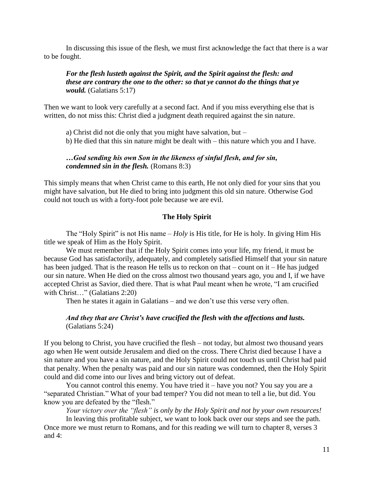In discussing this issue of the flesh, we must first acknowledge the fact that there is a war to be fought.

# *For the flesh lusteth against the Spirit, and the Spirit against the flesh: and these are contrary the one to the other: so that ye cannot do the things that ye would.* (Galatians 5:17)

Then we want to look very carefully at a second fact. And if you miss everything else that is written, do not miss this: Christ died a judgment death required against the sin nature.

a) Christ did not die only that you might have salvation, but –

b) He died that this sin nature might be dealt with – this nature which you and I have.

#### *…God sending his own Son in the likeness of sinful flesh, and for sin, condemned sin in the flesh.* (Romans 8:3)

This simply means that when Christ came to this earth, He not only died for your sins that you might have salvation, but He died to bring into judgment this old sin nature. Otherwise God could not touch us with a forty-foot pole because we are evil.

#### **The Holy Spirit**

The "Holy Spirit" is not His name – *Holy* is His title, for He is holy. In giving Him His title we speak of Him as the Holy Spirit.

We must remember that if the Holy Spirit comes into your life, my friend, it must be because God has satisfactorily, adequately, and completely satisfied Himself that your sin nature has been judged. That is the reason He tells us to reckon on that – count on it – He has judged our sin nature. When He died on the cross almost two thousand years ago, you and I, if we have accepted Christ as Savior, died there. That is what Paul meant when he wrote, "I am crucified with Christ..." (Galatians 2:20)

Then he states it again in Galatians – and we don"t use this verse very often.

#### *And they that are Christ's have crucified the flesh with the affections and lusts.* (Galatians 5:24)

If you belong to Christ, you have crucified the flesh – not today, but almost two thousand years ago when He went outside Jerusalem and died on the cross. There Christ died because I have a sin nature and you have a sin nature, and the Holy Spirit could not touch us until Christ had paid that penalty. When the penalty was paid and our sin nature was condemned, then the Holy Spirit could and did come into our lives and bring victory out of defeat.

You cannot control this enemy. You have tried it – have you not? You say you are a "separated Christian." What of your bad temper? You did not mean to tell a lie, but did. You know you are defeated by the "flesh."

*Your victory over the "flesh" is only by the Holy Spirit and not by your own resources!*

In leaving this profitable subject, we want to look back over our steps and see the path. Once more we must return to Romans, and for this reading we will turn to chapter 8, verses 3 and 4: